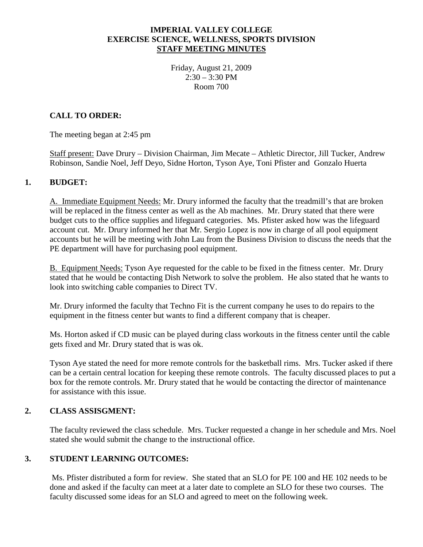#### **IMPERIAL VALLEY COLLEGE EXERCISE SCIENCE, WELLNESS, SPORTS DIVISION STAFF MEETING MINUTES**

Friday, August 21, 2009  $2:30 - 3:30$  PM Room 700

## **CALL TO ORDER:**

The meeting began at 2:45 pm

Staff present: Dave Drury – Division Chairman, Jim Mecate – Athletic Director, Jill Tucker, Andrew Robinson, Sandie Noel, Jeff Deyo, Sidne Horton, Tyson Aye, Toni Pfister and Gonzalo Huerta

### **1. BUDGET:**

A. Immediate Equipment Needs: Mr. Drury informed the faculty that the treadmill's that are broken will be replaced in the fitness center as well as the Ab machines. Mr. Drury stated that there were budget cuts to the office supplies and lifeguard categories. Ms. Pfister asked how was the lifeguard account cut. Mr. Drury informed her that Mr. Sergio Lopez is now in charge of all pool equipment accounts but he will be meeting with John Lau from the Business Division to discuss the needs that the PE department will have for purchasing pool equipment.

B. Equipment Needs: Tyson Aye requested for the cable to be fixed in the fitness center. Mr. Drury stated that he would be contacting Dish Network to solve the problem. He also stated that he wants to look into switching cable companies to Direct TV.

Mr. Drury informed the faculty that Techno Fit is the current company he uses to do repairs to the equipment in the fitness center but wants to find a different company that is cheaper.

Ms. Horton asked if CD music can be played during class workouts in the fitness center until the cable gets fixed and Mr. Drury stated that is was ok.

Tyson Aye stated the need for more remote controls for the basketball rims. Mrs. Tucker asked if there can be a certain central location for keeping these remote controls. The faculty discussed places to put a box for the remote controls. Mr. Drury stated that he would be contacting the director of maintenance for assistance with this issue.

### **2. CLASS ASSISGMENT:**

The faculty reviewed the class schedule. Mrs. Tucker requested a change in her schedule and Mrs. Noel stated she would submit the change to the instructional office.

### **3. STUDENT LEARNING OUTCOMES:**

Ms. Pfister distributed a form for review. She stated that an SLO for PE 100 and HE 102 needs to be done and asked if the faculty can meet at a later date to complete an SLO for these two courses. The faculty discussed some ideas for an SLO and agreed to meet on the following week.